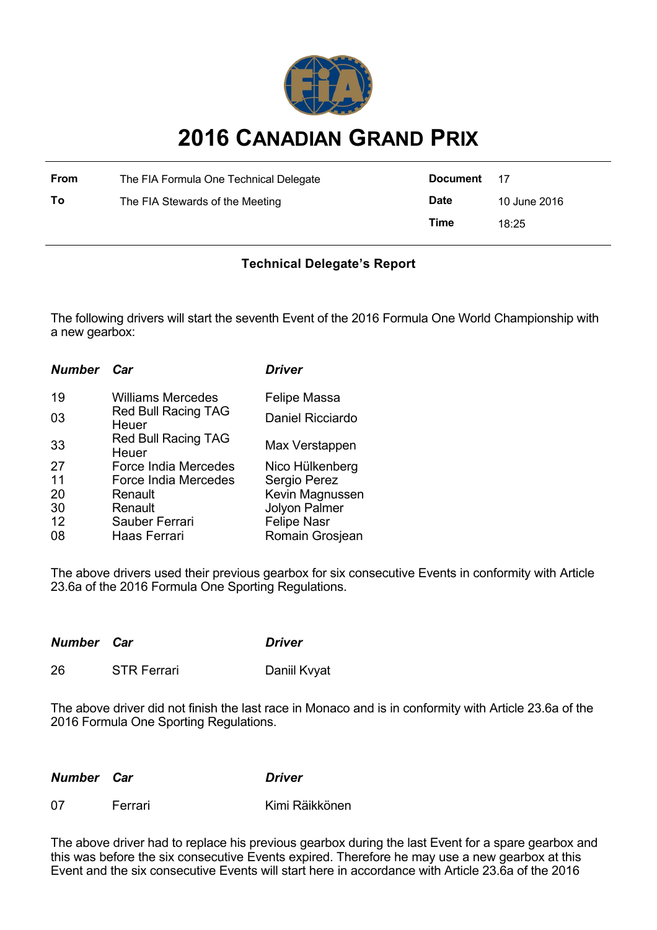

## **2016 CANADIAN GRAND PRIX**

| <b>From</b> | The FIA Formula One Technical Delegate | Document 17 |              |
|-------------|----------------------------------------|-------------|--------------|
| To          | The FIA Stewards of the Meeting        | <b>Date</b> | 10 June 2016 |
|             |                                        | Time        | 18:25        |

## **Technical Delegate's Report**

The following drivers will start the seventh Event of the 2016 Formula One World Championship with a new gearbox:

| Car                                 | <b>Driver</b>              |
|-------------------------------------|----------------------------|
| <b>Williams Mercedes</b>            | Felipe Massa               |
| Heuer                               | Daniel Ricciardo           |
| <b>Red Bull Racing TAG</b><br>Heuer | Max Verstappen             |
| Force India Mercedes                | Nico Hülkenberg            |
| <b>Force India Mercedes</b>         | Sergio Perez               |
| Renault                             | Kevin Magnussen            |
| Renault                             | <b>Jolyon Palmer</b>       |
| Sauber Ferrari                      | <b>Felipe Nasr</b>         |
| Haas Ferrari                        | Romain Grosjean            |
|                                     | <b>Red Bull Racing TAG</b> |

The above drivers used their previous gearbox for six consecutive Events in conformity with Article 23.6a of the 2016 Formula One Sporting Regulations.

| <b>Number Car</b> |                    | <b>Driver</b> |
|-------------------|--------------------|---------------|
| 26                | <b>STR Ferrari</b> | Daniil Kvyat  |

The above driver did not finish the last race in Monaco and is in conformity with Article 23.6a of the 2016 Formula One Sporting Regulations.

*Number Car Driver*

| <b>Number Car</b> |
|-------------------|

07 Ferrari Kimi Räikkönen

The above driver had to replace his previous gearbox during the last Event for a spare gearbox and this was before the six consecutive Events expired. Therefore he may use a new gearbox at this Event and the six consecutive Events will start here in accordance with Article 23.6a of the 2016